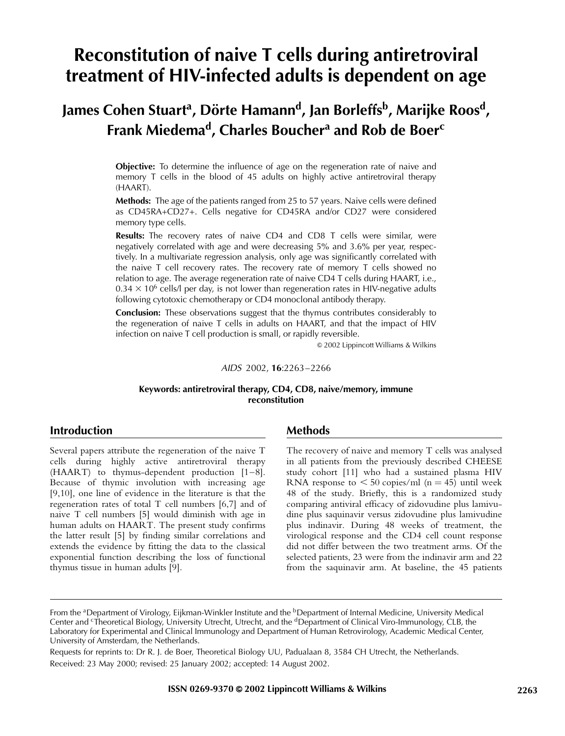# Reconstitution of naive T cells during antiretroviral treatment of HIV-infected adults is dependent on age

# James Cohen Stuart<sup>a</sup>, Dörte Hamann<sup>d</sup>, Jan Borleffs<sup>b</sup>, Marijke Roos<sup>d</sup>, Frank Miedema<sup>d</sup>, Charles Boucher<sup>a</sup> and Rob de Boer<sup>c</sup>

**Objective:** To determine the influence of age on the regeneration rate of naive and memory T cells in the blood of 45 adults on highly active antiretroviral therapy (HAART).

**Methods:** The age of the patients ranged from 25 to 57 years. Naive cells were defined as CD45RA+CD27+. Cells negative for CD45RA and/or CD27 were considered memory type cells.

Results: The recovery rates of naive CD4 and CD8 T cells were similar, were negatively correlated with age and were decreasing 5% and 3.6% per year, respectively. In a multivariate regression analysis, only age was significantly correlated with the naive T cell recovery rates. The recovery rate of memory T cells showed no relation to age. The average regeneration rate of naive CD4 T cells during HAART, i.e.,  $0.34 \times 10^6$  cells/l per day, is not lower than regeneration rates in HIV-negative adults following cytotoxic chemotherapy or CD4 monoclonal antibody therapy.

Conclusion: These observations suggest that the thymus contributes considerably to the regeneration of naive T cells in adults on HAART, and that the impact of HIV infection on naive T cell production is small, or rapidly reversible.

& 2002 Lippincott Williams & Wilkins

#### AIDS 2002, 16:2263–2266

#### Keywords: antiretroviral therapy, CD4, CD8, naive/memory, immune reconstitution

# Introduction

Several papers attribute the regeneration of the naive T cells during highly active antiretroviral therapy (HAART) to thymus-dependent production [\[1–8\]](#page-3-0). Because of thymic involution with increasing age [\[9,10\]](#page-3-0), one line of evidence in the literature is that the regeneration rates of total T cell numbers [\[6,7\]](#page-3-0) and of naive T cell numbers [\[5\]](#page-3-0) would diminish with age in human adults on HAART. The present study confirms the latter result [\[5\]](#page-3-0) by finding similar correlations and extends the evidence by fitting the data to the classical exponential function describing the loss of functional thymus tissue in human adults [\[9\]](#page-3-0).

### Methods

The recovery of naive and memory T cells was analysed in all patients from the previously described CHEESE study cohort [\[11\]](#page-3-0) who had a sustained plasma HIV RNA response to  $\leq 50$  copies/ml (n = 45) until week 48 of the study. Briefly, this is a randomized study comparing antiviral efficacy of zidovudine plus lamivudine plus saquinavir versus zidovudine plus lamivudine plus indinavir. During 48 weeks of treatment, the virological response and the CD4 cell count response did not differ between the two treatment arms. Of the selected patients, 23 were from the indinavir arm and 22 from the saquinavir arm. At baseline, the 45 patients

Requests for reprints to: Dr R. J. de Boer, Theoretical Biology UU, Padualaan 8, 3584 CH Utrecht, the Netherlands. Received: 23 May 2000; revised: 25 January 2002; accepted: 14 August 2002.

From the <sup>a</sup>Department of Virology, Eijkman-Winkler Institute and the <sup>b</sup>Department of Internal Medicine, University Medical Center and <sup>c</sup>Theoretical Biology, University Utrecht, Utrecht, and the <sup>d</sup>Department of Clinical Viro-Immunology, CLB, the Laboratory for Experimental and Clinical Immunology and Department of Human Retrovirology, Academic Medical Center, University of Amsterdam, the Netherlands.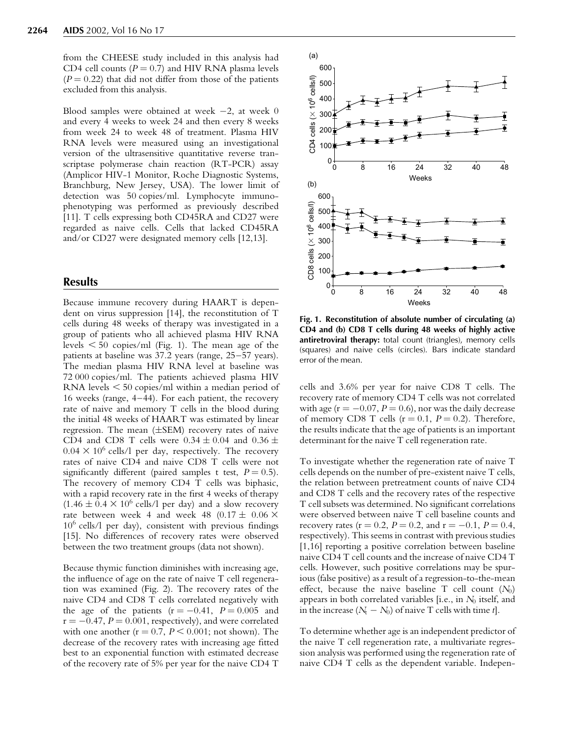from the CHEESE study included in this analysis had CD4 cell counts ( $P = 0.7$ ) and HIV RNA plasma levels  $(P = 0.22)$  that did not differ from those of the patients excluded from this analysis.

Blood samples were obtained at week  $-2$ , at week  $0$ and every 4 weeks to week 24 and then every 8 weeks from week 24 to week 48 of treatment. Plasma HIV RNA levels were measured using an investigational version of the ultrasensitive quantitative reverse transcriptase polymerase chain reaction (RT-PCR) assay (Amplicor HIV-1 Monitor, Roche Diagnostic Systems, Branchburg, New Jersey, USA). The lower limit of detection was 50 copies/ml. Lymphocyte immunophenotyping was performed as previously described [\[11\]](#page-3-0). T cells expressing both CD45RA and CD27 were regarded as naive cells. Cells that lacked CD45RA and/or CD27 were designated memory cells [\[12,13\]](#page-3-0).

## **Results**

Because immune recovery during HAART is dependent on virus suppression [\[14\]](#page-3-0), the reconstitution of T cells during 48 weeks of therapy was investigated in a group of patients who all achieved plasma HIV RNA levels  $\leq 50$  copies/ml (Fig. 1). The mean age of the patients at baseline was 37.2 years (range, 25–57 years). The median plasma HIV RNA level at baseline was 72 000 copies/ml. The patients achieved plasma HIV RNA levels  $\leq 50$  copies/ml within a median period of 16 weeks (range, 4–44). For each patient, the recovery rate of naive and memory T cells in the blood during the initial 48 weeks of HAART was estimated by linear regression. The mean  $(\pm$ SEM) recovery rates of naive CD4 and CD8 T cells were  $0.34 \pm 0.04$  and  $0.36 \pm$  $0.04 \times 10^6$  cells/l per day, respectively. The recovery rates of naive CD4 and naive CD8 T cells were not significantly different (paired samples t test,  $P = 0.5$ ). The recovery of memory CD4 T cells was biphasic, with a rapid recovery rate in the first 4 weeks of therapy  $(1.46 \pm 0.4 \times 10^6 \text{ cells/l per day})$  and a slow recovery rate between week 4 and week 48 (0.17  $\pm$  0.06  $\times$  $10^6$  cells/l per day), consistent with previous findings [\[15\]](#page-3-0). No differences of recovery rates were observed between the two treatment groups (data not shown).

Because thymic function diminishes with increasing age, the influence of age on the rate of naive T cell regeneration was examined (Fig. [2\).](#page-2-0) The recovery rates of the naive CD4 and CD8 T cells correlated negatively with the age of the patients ( $r = -0.41$ ,  $P = 0.005$  and  $r = -0.47$ ,  $P = 0.001$ , respectively), and were correlated with one another ( $r = 0.7$ ,  $P < 0.001$ ; not shown). The decrease of the recovery rates with increasing age fitted best to an exponential function with estimated decrease of the recovery rate of 5% per year for the naive CD4 T



Fig. 1. Reconstitution of absolute number of circulating (a) CD4 and (b) CD8 T cells during 48 weeks of highly active antiretroviral therapy: total count (triangles), memory cells (squares) and naive cells (circles). Bars indicate standard error of the mean.

cells and 3.6% per year for naive CD8 T cells. The recovery rate of memory CD4 T cells was not correlated with age ( $r = -0.07$ ,  $P = 0.6$ ), nor was the daily decrease of memory CD8 T cells  $(r = 0.1, P = 0.2)$ . Therefore, the results indicate that the age of patients is an important determinant for the naive T cell regeneration rate.

To investigate whether the regeneration rate of naive T cells depends on the number of pre-existent naive T cells, the relation between pretreatment counts of naive CD4 and CD8 T cells and the recovery rates of the respective T cell subsets was determined. No significant correlations were observed between naive T cell baseline counts and recovery rates ( $r = 0.2$ ,  $P = 0.2$ , and  $r = -0.1$ ,  $P = 0.4$ , respectively). This seems in contrast with previous studies [\[1,16\]](#page-3-0) reporting a positive correlation between baseline naive CD4 T cell counts and the increase of naive CD4 T cells. However, such positive correlations may be spurious (false positive) as a result of a regression-to-the-mean effect, because the naive baseline T cell count  $(N_0)$ appears in both correlated variables [i.e., in  $N_0$  itself, and in the increase  $(N_t - N_0)$  of naive T cells with time t].

To determine whether age is an independent predictor of the naive T cell regeneration rate, a multivariate regression analysis was performed using the regeneration rate of naive CD4 T cells as the dependent variable. Indepen-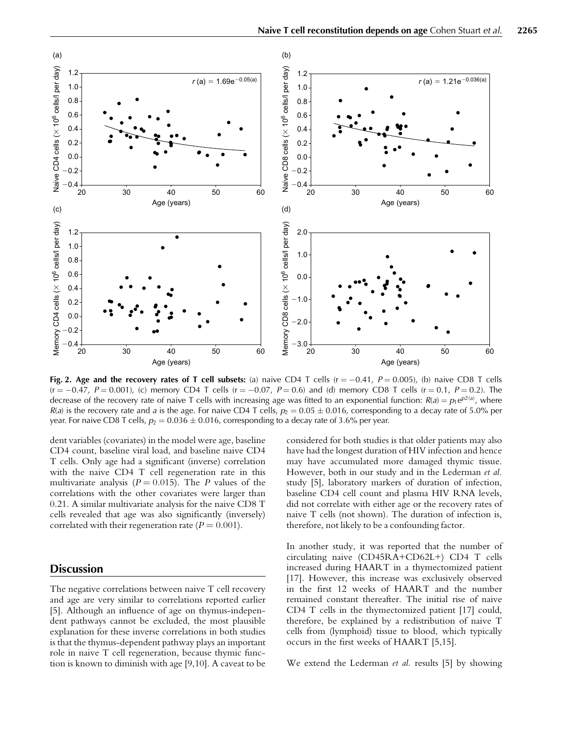<span id="page-2-0"></span>

Fig. 2. Age and the recovery rates of T cell subsets: (a) naive CD4 T cells (r  $= -0.41$ ,  $P = 0.005$ ), (b) naive CD8 T cells (r  $=$   $-0.47$ ,  $P = 0.001$ ), (c) memory CD4 T cells (r  $=$   $-0.07$ ,  $P = 0.6$ ) and (d) memory CD8 T cells (r  $=$  0.1,  $P = 0.2$ ). The decrease of the recovery rate of naive T cells with increasing age was fitted to an exponential function:  $R(a) = p_1 e^{p2(a)}$ , where  $R(a)$  is the recovery rate and a is the age. For naive CD4 T cells,  $p_2 = 0.05 \pm 0.016$ , corresponding to a decay rate of 5.0% per year. For naive CD8 T cells,  $p_2 = 0.036 \pm 0.016$ , corresponding to a decay rate of 3.6% per year.

dent variables (covariates) in the model were age, baseline CD4 count, baseline viral load, and baseline naive CD4 T cells. Only age had a significant (inverse) correlation with the naive CD4 T cell regeneration rate in this multivariate analysis ( $P = 0.015$ ). The P values of the correlations with the other covariates were larger than 0.21. A similar multivariate analysis for the naive CD8 T cells revealed that age was also significantly (inversely) correlated with their regeneration rate ( $P = 0.001$ ).

# **Discussion**

The negative correlations between naive T cell recovery and age are very similar to correlations reported earlier [\[5\]](#page-3-0). Although an influence of age on thymus-independent pathways cannot be excluded, the most plausible explanation for these inverse correlations in both studies is that the thymus-dependent pathway plays an important role in naive T cell regeneration, because thymic function is known to diminish with age [\[9,10\]](#page-3-0). A caveat to be

considered for both studies is that older patients may also have had the longest duration of HIV infection and hence may have accumulated more damaged thymic tissue. However, both in our study and in the Lederman et al. study [\[5\]](#page-3-0), laboratory markers of duration of infection, baseline CD4 cell count and plasma HIV RNA levels, did not correlate with either age or the recovery rates of naive T cells (not shown). The duration of infection is, therefore, not likely to be a confounding factor.

In another study, it was reported that the number of circulating naive (CD45RA+CD62L+) CD4 T cells increased during HAART in a thymectomized patient [\[17\]](#page-3-0). However, this increase was exclusively observed in the first 12 weeks of HAART and the number remained constant thereafter. The initial rise of naive CD4 T cells in the thymectomized patient [\[17\]](#page-3-0) could, therefore, be explained by a redistribution of naive T cells from (lymphoid) tissue to blood, which typically occurs in the first weeks of HAART [\[5,15\]](#page-3-0).

We extend the Lederman *et al.* results [\[5\]](#page-3-0) by showing